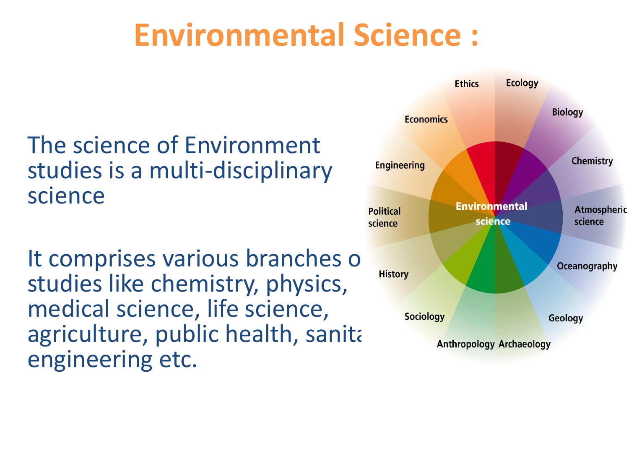### **Environmental Science :**

#### The science of Environment studies is a multi-disciplinary science

It comprises various branches of studies like chemistry, physics, medical science, life science, agriculture, public health, sanitary engineering etc.

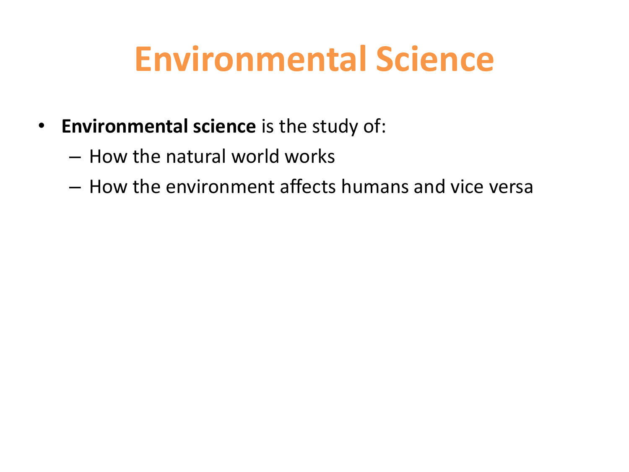## **Environmental Science**

- **Environmental science** is the study of:
	- How the natural world works
	- How the environment affects humans and vice versa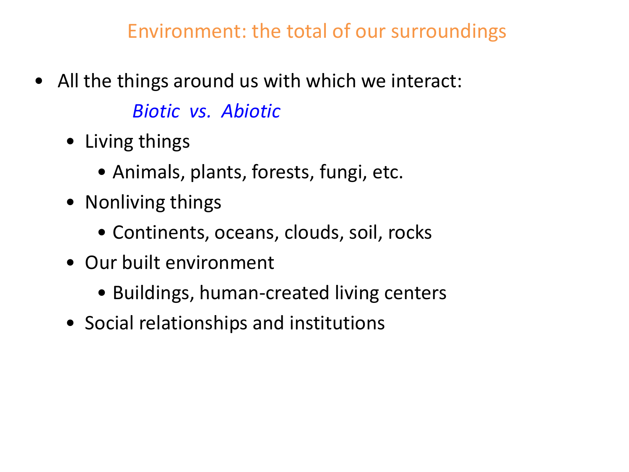Environment: the total of our surroundings

- All the things around us with which we interact: *Biotic vs. Abiotic*
	- Living things
		- Animals, plants, forests, fungi, etc.
	- Nonliving things
		- Continents, oceans, clouds, soil, rocks
	- Our built environment
		- Buildings, human-created living centers
	- Social relationships and institutions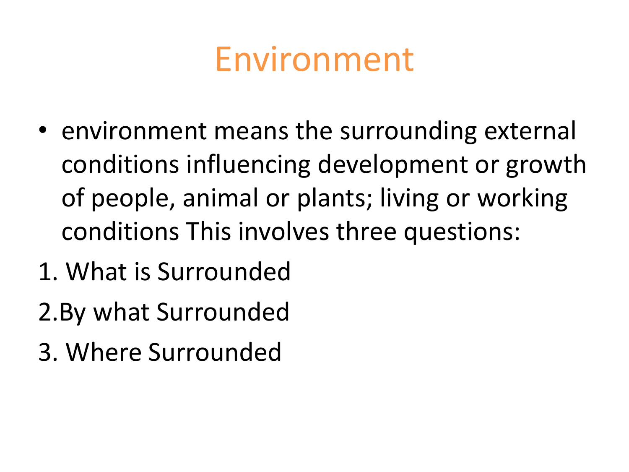### Environment

- environment means the surrounding external conditions influencing development or growth of people, animal or plants; living or working conditions This involves three questions:
- 1. What is Surrounded
- 2.By what Surrounded
- 3. Where Surrounded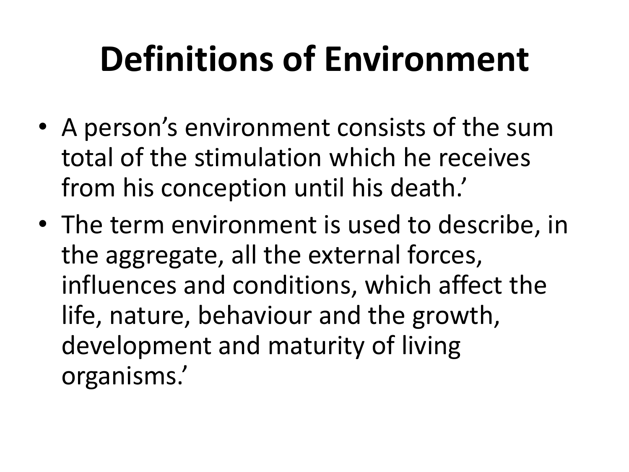# **Definitions of Environment**

- A person's environment consists of the sum total of the stimulation which he receives from his conception until his death.'
- The term environment is used to describe, in the aggregate, all the external forces, influences and conditions, which affect the life, nature, behaviour and the growth, development and maturity of living organisms.'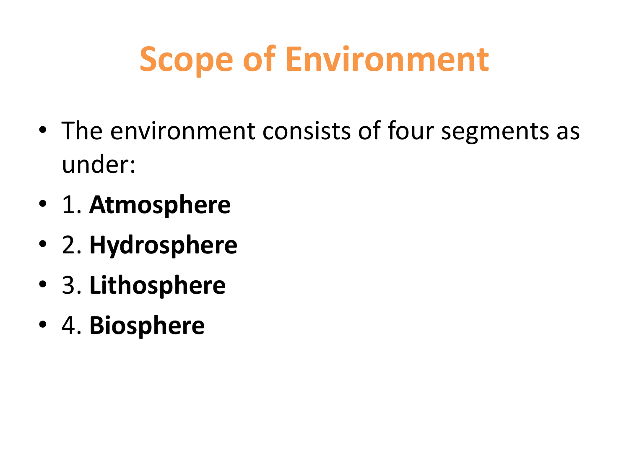# **Scope of Environment**

- The environment consists of four segments as under:
- 1. **Atmosphere**
- 2. **Hydrosphere**
- 3. **Lithosphere**
- 4. **Biosphere**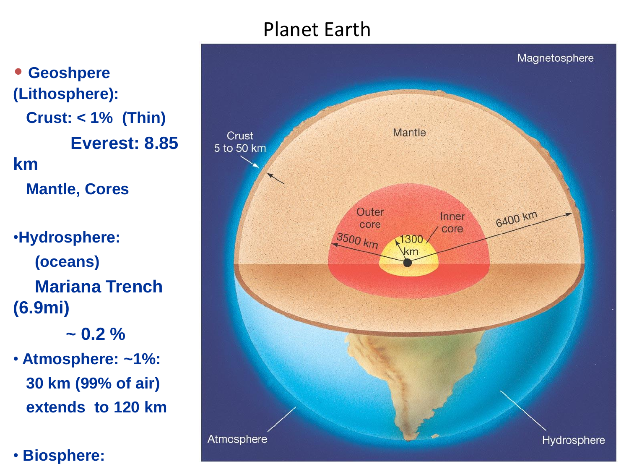#### Planet Earth

• **Geoshpere (Lithosphere): Crust: < 1% (Thin) Everest: 8.85 km Mantle, Cores** •**Hydrosphere: (oceans) Mariana Trench (6.9mi)**  $\sim$  0.2  $\%$ 

• **Atmosphere: ~1%: 30 km (99% of air) extends to 120 km**

• **Biosphere:**

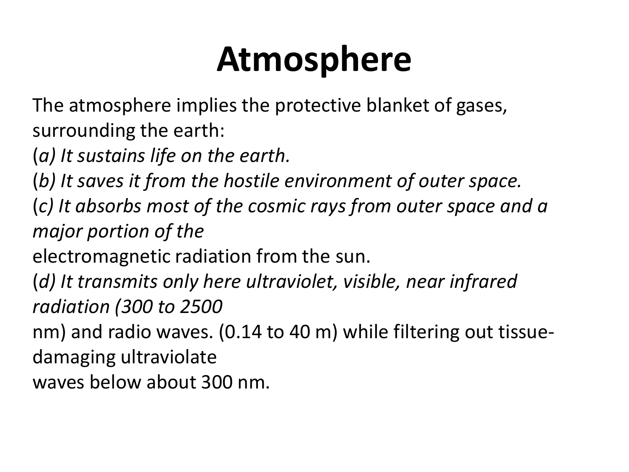## **Atmosphere**

The atmosphere implies the protective blanket of gases, surrounding the earth:

(*a) It sustains life on the earth.*

(*b) It saves it from the hostile environment of outer space.*

(*c) It absorbs most of the cosmic rays from outer space and a major portion of the*

electromagnetic radiation from the sun.

(*d) It transmits only here ultraviolet, visible, near infrared radiation (300 to 2500*

nm) and radio waves. (0.14 to 40 m) while filtering out tissuedamaging ultraviolate

waves below about 300 nm.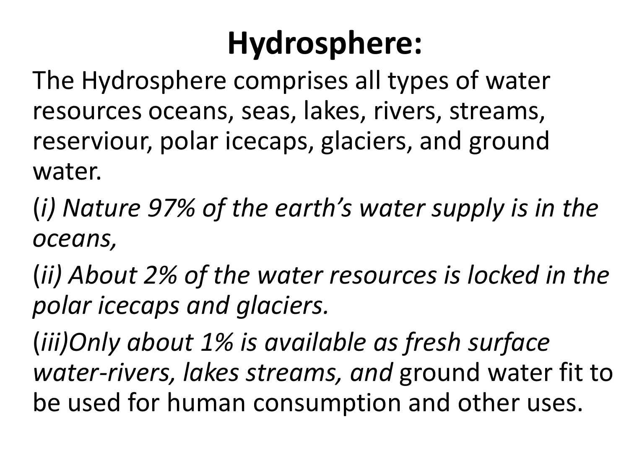### **Hydrosphere:**

The Hydrosphere comprises all types of water resources oceans, seas, lakes, rivers, streams, reserviour, polar icecaps, glaciers, and ground water.

(*i) Nature 97% of the earth's water supply is in the oceans,*

(*ii) About 2% of the water resources is locked in the polar icecaps and glaciers.*

(*iii)Only about 1% is available as fresh surface water-rivers, lakes streams, and* ground water fit to be used for human consumption and other uses.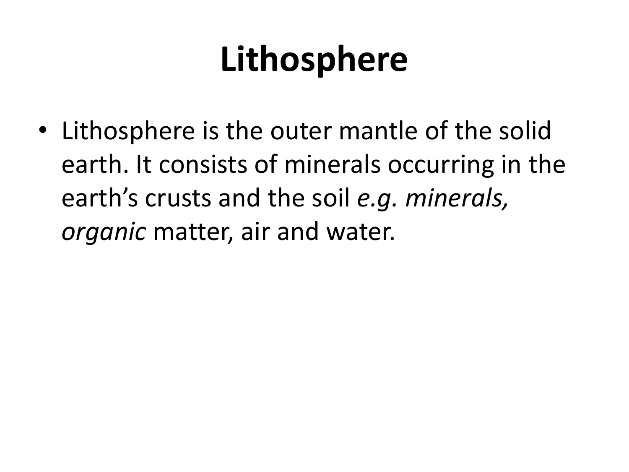# **Lithosphere**

• Lithosphere is the outer mantle of the solid earth. It consists of minerals occurring in the earth's crusts and the soil *e.g. minerals, organic* matter, air and water.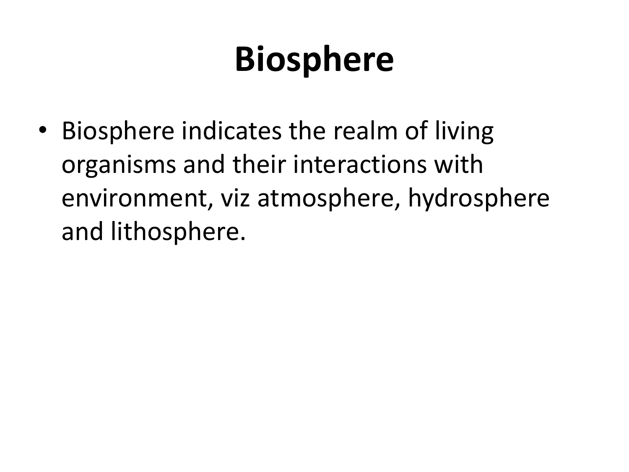# **Biosphere**

• Biosphere indicates the realm of living organisms and their interactions with environment, viz atmosphere, hydrosphere and lithosphere.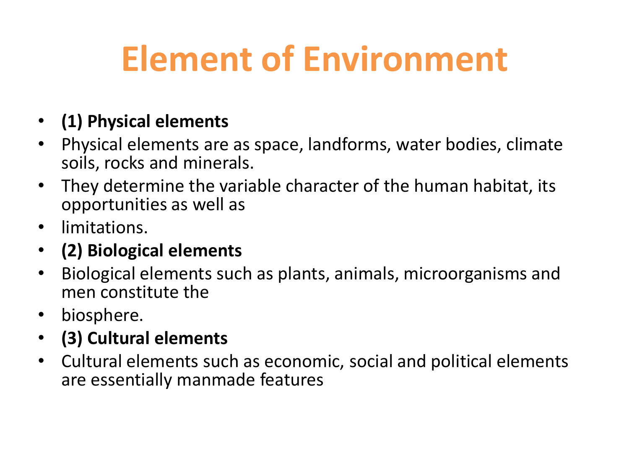## **Element of Environment**

#### • **(1) Physical elements**

- Physical elements are as space, landforms, water bodies, climate soils, rocks and minerals.
- They determine the variable character of the human habitat, its opportunities as well as
- limitations.
- **(2) Biological elements**
- Biological elements such as plants, animals, microorganisms and men constitute the
- biosphere.
- **(3) Cultural elements**
- Cultural elements such as economic, social and political elements are essentially manmade features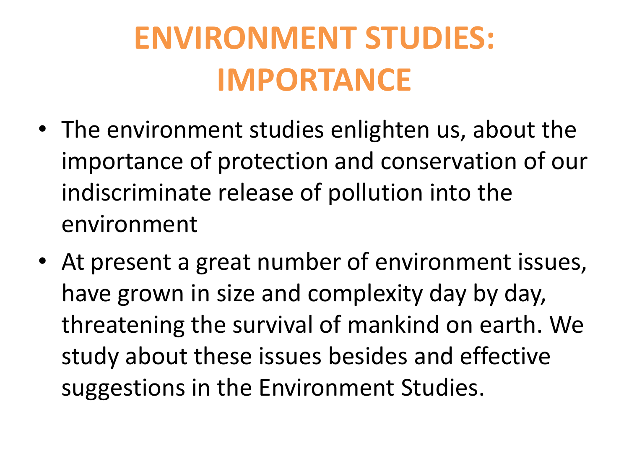## **ENVIRONMENT STUDIES: IMPORTANCE**

- The environment studies enlighten us, about the importance of protection and conservation of our indiscriminate release of pollution into the environment
- At present a great number of environment issues, have grown in size and complexity day by day, threatening the survival of mankind on earth. We study about these issues besides and effective suggestions in the Environment Studies.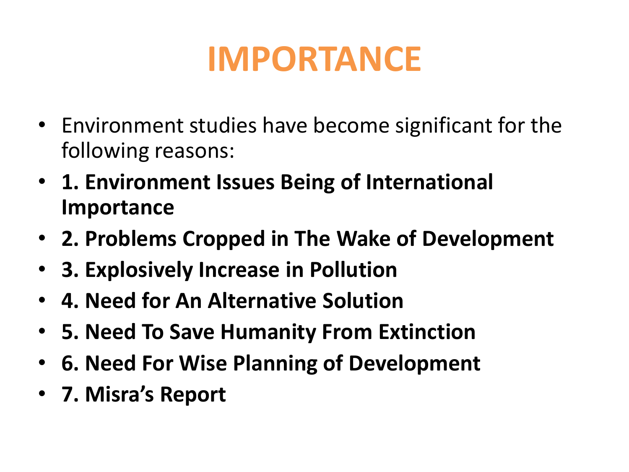## **IMPORTANCE**

- Environment studies have become significant for the following reasons:
- **1. Environment Issues Being of International Importance**
- **2. Problems Cropped in The Wake of Development**
- **3. Explosively Increase in Pollution**
- **4. Need for An Alternative Solution**
- **5. Need To Save Humanity From Extinction**
- **6. Need For Wise Planning of Development**
- **7. Misra's Report**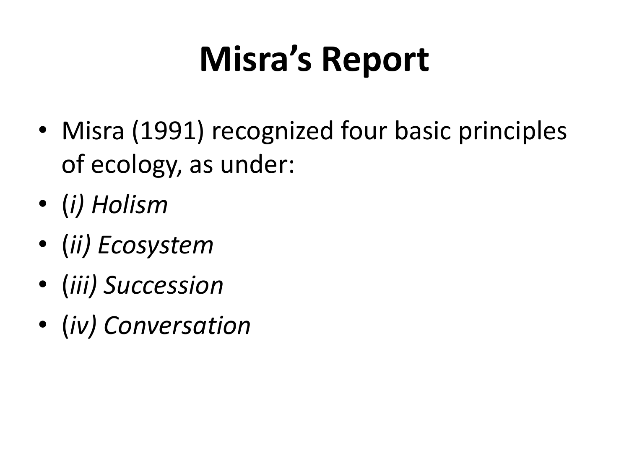# **Misra's Report**

- Misra (1991) recognized four basic principles of ecology, as under:
- (*i) Holism*
- (*ii) Ecosystem*
- (*iii) Succession*
- (*iv) Conversation*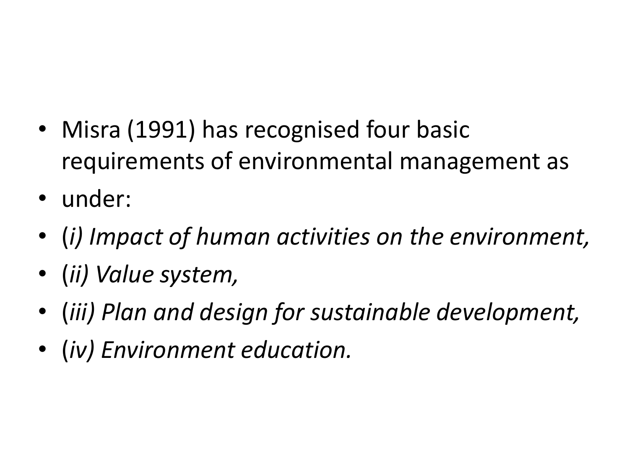- Misra (1991) has recognised four basic requirements of environmental management as
- under:
- (*i) Impact of human activities on the environment,*
- (*ii) Value system,*
- (*iii) Plan and design for sustainable development,*
- (*iv) Environment education.*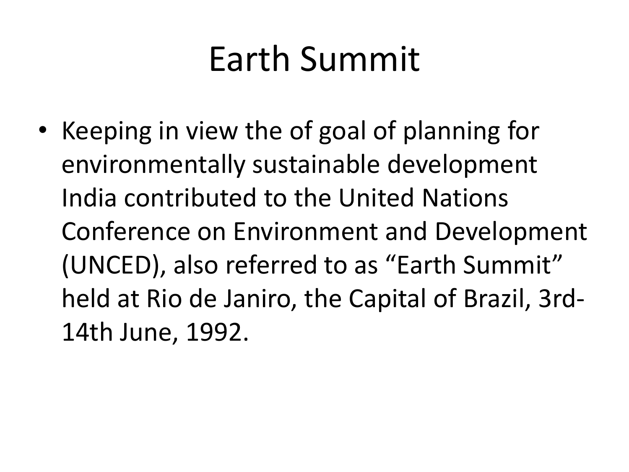## Earth Summit

• Keeping in view the of goal of planning for environmentally sustainable development India contributed to the United Nations Conference on Environment and Development (UNCED), also referred to as "Earth Summit" held at Rio de Janiro, the Capital of Brazil, 3rd-14th June, 1992.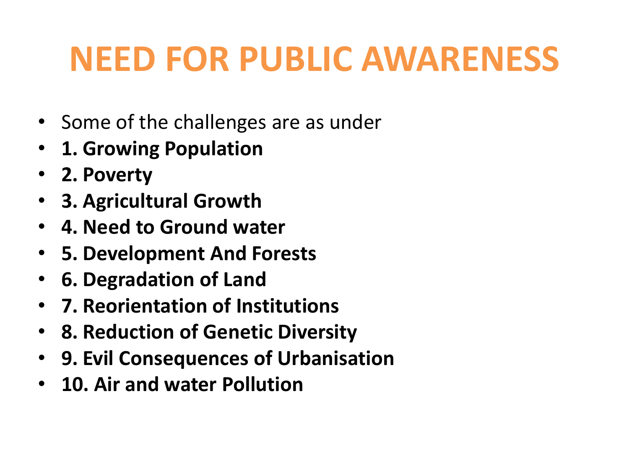## **NEED FOR PUBLIC AWARENESS**

- Some of the challenges are as under
- **1. Growing Population**
- **2. Poverty**
- **3. Agricultural Growth**
- **4. Need to Ground water**
- **5. Development And Forests**
- **6. Degradation of Land**
- **7. Reorientation of Institutions**
- **8. Reduction of Genetic Diversity**
- **9. Evil Consequences of Urbanisation**
- **10. Air and water Pollution**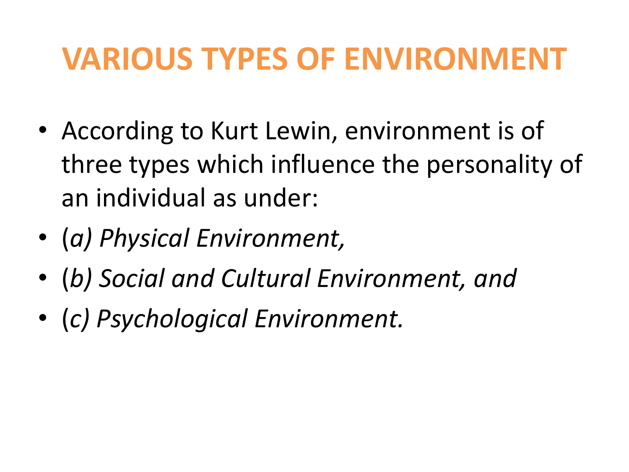### **VARIOUS TYPES OF ENVIRONMENT**

- According to Kurt Lewin, environment is of three types which influence the personality of an individual as under:
- (*a) Physical Environment,*
- (*b) Social and Cultural Environment, and*
- (*c) Psychological Environment.*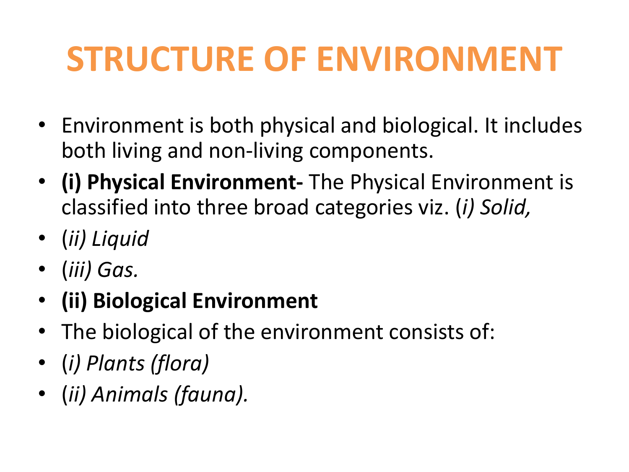## **STRUCTURE OF ENVIRONMENT**

- Environment is both physical and biological. It includes both living and non-living components.
- **(i) Physical Environment-** The Physical Environment is classified into three broad categories viz. (*i) Solid,*
- (*ii) Liquid*
- (*iii) Gas.*
- **(ii) Biological Environment**
- The biological of the environment consists of:
- (*i) Plants (flora)*
- (*ii) Animals (fauna).*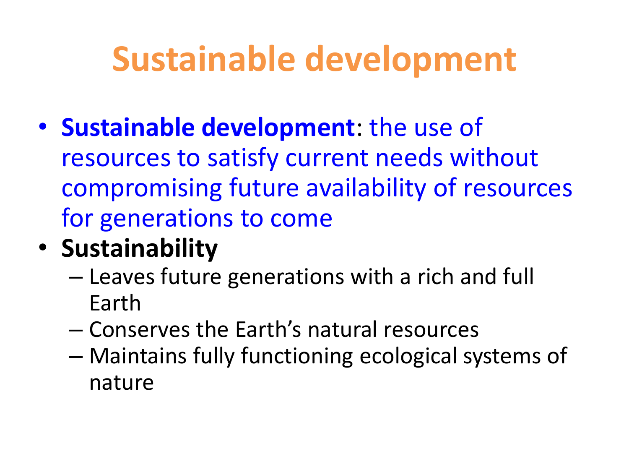## **Sustainable development**

- **Sustainable development**: the use of resources to satisfy current needs without compromising future availability of resources for generations to come
- **Sustainability**
	- Leaves future generations with a rich and full Earth
	- Conserves the Earth's natural resources
	- Maintains fully functioning ecological systems of nature